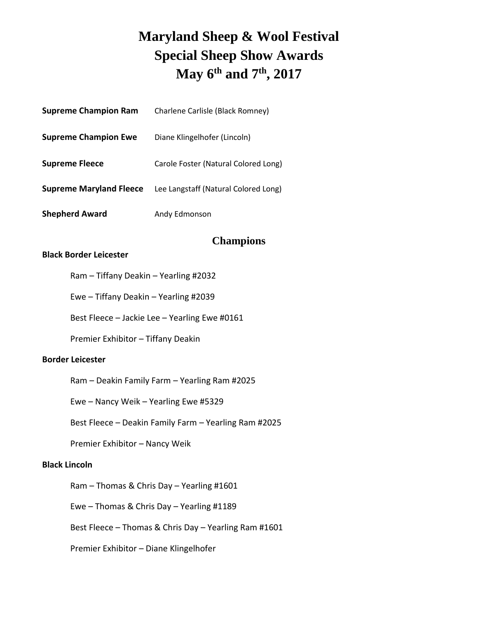# **Maryland Sheep & Wool Festival Special Sheep Show Awards May 6 th and 7 th , 2017**

| <b>Supreme Champion Ram</b>    | Charlene Carlisle (Black Romney)     |  |
|--------------------------------|--------------------------------------|--|
| <b>Supreme Champion Ewe</b>    | Diane Klingelhofer (Lincoln)         |  |
| <b>Supreme Fleece</b>          | Carole Foster (Natural Colored Long) |  |
| <b>Supreme Maryland Fleece</b> | Lee Langstaff (Natural Colored Long) |  |
| <b>Shepherd Award</b>          | Andy Edmonson                        |  |

## **Champions**

## **Black Border Leicester**

|  |  | Ram - Tiffany Deakin - Yearling #2032 |  |  |
|--|--|---------------------------------------|--|--|
|--|--|---------------------------------------|--|--|

Ewe – Tiffany Deakin – Yearling #2039

Best Fleece – Jackie Lee – Yearling Ewe #0161

Premier Exhibitor – Tiffany Deakin

#### **Border Leicester**

Ram – Deakin Family Farm – Yearling Ram #2025

Ewe – Nancy Weik – Yearling Ewe #5329

Best Fleece – Deakin Family Farm – Yearling Ram #2025

Premier Exhibitor – Nancy Weik

## **Black Lincoln**

Ram – Thomas & Chris Day – Yearling #1601

Ewe – Thomas & Chris Day – Yearling #1189

Best Fleece – Thomas & Chris Day – Yearling Ram #1601

Premier Exhibitor – Diane Klingelhofer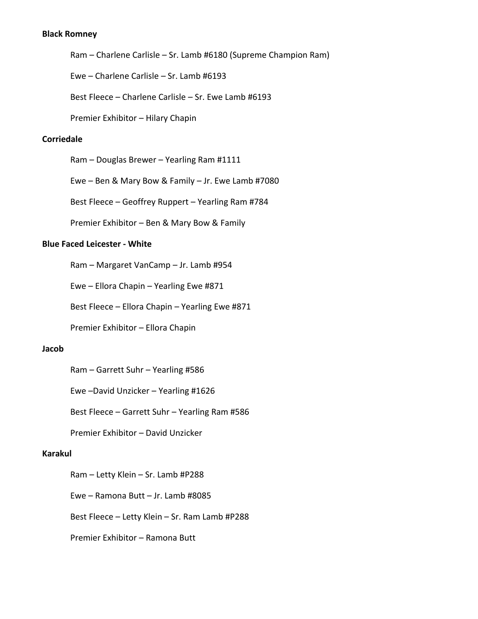## **Black Romney**

Ram – Charlene Carlisle – Sr. Lamb #6180 (Supreme Champion Ram)

Ewe – Charlene Carlisle – Sr. Lamb #6193

Best Fleece – Charlene Carlisle – Sr. Ewe Lamb #6193

Premier Exhibitor – Hilary Chapin

#### **Corriedale**

Ram – Douglas Brewer – Yearling Ram #1111

Ewe – Ben & Mary Bow & Family – Jr. Ewe Lamb #7080

Best Fleece – Geoffrey Ruppert – Yearling Ram #784

Premier Exhibitor – Ben & Mary Bow & Family

#### **Blue Faced Leicester - White**

Ram – Margaret VanCamp – Jr. Lamb #954

Ewe – Ellora Chapin – Yearling Ewe #871

Best Fleece – Ellora Chapin – Yearling Ewe #871

Premier Exhibitor – Ellora Chapin

### **Jacob**

Ram – Garrett Suhr – Yearling #586

Ewe –David Unzicker – Yearling #1626

Best Fleece – Garrett Suhr – Yearling Ram #586

Premier Exhibitor – David Unzicker

### **Karakul**

Ram – Letty Klein – Sr. Lamb #P288

Ewe – Ramona Butt – Jr. Lamb #8085

Best Fleece – Letty Klein – Sr. Ram Lamb #P288

Premier Exhibitor – Ramona Butt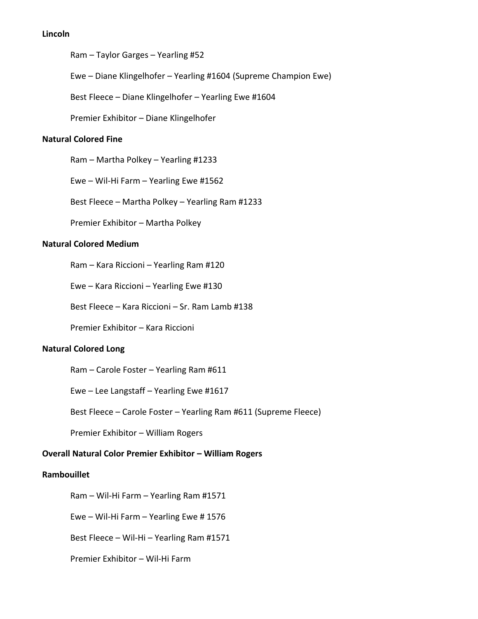## **Lincoln**

Ram – Taylor Garges – Yearling #52

Ewe – Diane Klingelhofer – Yearling #1604 (Supreme Champion Ewe)

Best Fleece – Diane Klingelhofer – Yearling Ewe #1604

Premier Exhibitor – Diane Klingelhofer

## **Natural Colored Fine**

Ram – Martha Polkey – Yearling #1233

Ewe – Wil-Hi Farm – Yearling Ewe #1562

Best Fleece – Martha Polkey – Yearling Ram #1233

Premier Exhibitor – Martha Polkey

## **Natural Colored Medium**

Ram – Kara Riccioni – Yearling Ram #120

Ewe – Kara Riccioni – Yearling Ewe #130

Best Fleece – Kara Riccioni – Sr. Ram Lamb #138

Premier Exhibitor – Kara Riccioni

#### **Natural Colored Long**

Ram – Carole Foster – Yearling Ram #611

Ewe – Lee Langstaff – Yearling Ewe #1617

Best Fleece – Carole Foster – Yearling Ram #611 (Supreme Fleece)

Premier Exhibitor – William Rogers

## **Overall Natural Color Premier Exhibitor – William Rogers**

#### **Rambouillet**

Ram – Wil-Hi Farm – Yearling Ram #1571

Ewe – Wil-Hi Farm – Yearling Ewe # 1576

Best Fleece – Wil-Hi – Yearling Ram #1571

Premier Exhibitor – Wil-Hi Farm